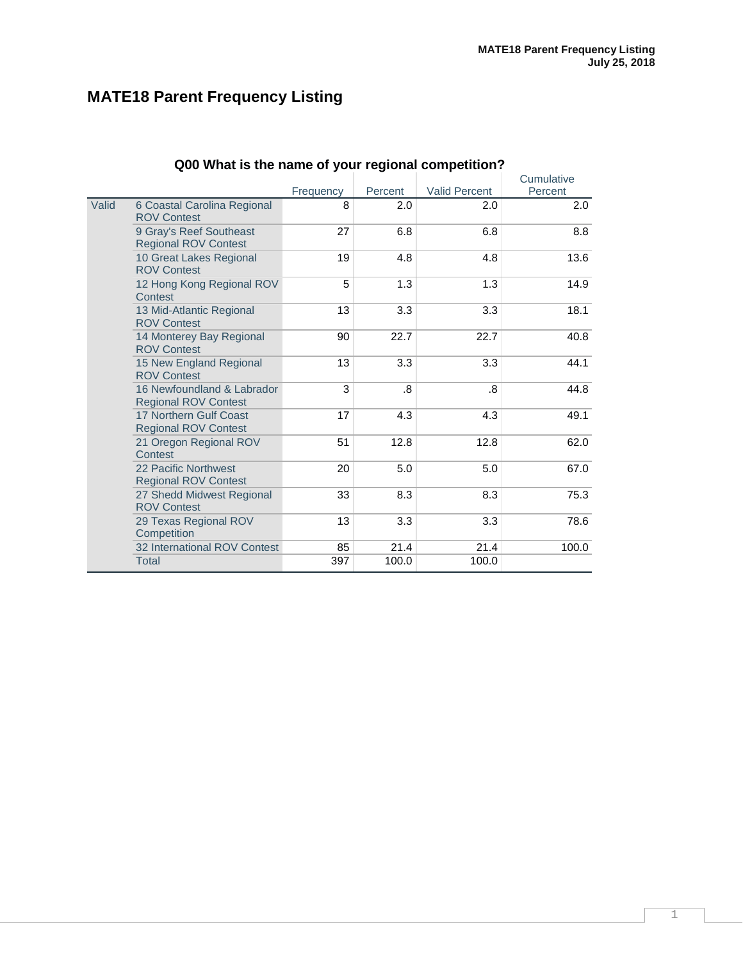# **MATE18 Parent Frequency Listing**

|       | Quo what is the name or your regional competition?        |           |         |                      |            |
|-------|-----------------------------------------------------------|-----------|---------|----------------------|------------|
|       |                                                           |           |         |                      | Cumulative |
|       |                                                           | Frequency | Percent | <b>Valid Percent</b> | Percent    |
| Valid | 6 Coastal Carolina Regional<br><b>ROV Contest</b>         | 8         | 2.0     | 2.0                  | 2.0        |
|       | 9 Gray's Reef Southeast<br><b>Regional ROV Contest</b>    | 27        | 6.8     | 6.8                  | 8.8        |
|       | 10 Great Lakes Regional<br><b>ROV Contest</b>             | 19        | 4.8     | 4.8                  | 13.6       |
|       | 12 Hong Kong Regional ROV<br>Contest                      | 5         | 1.3     | 1.3                  | 14.9       |
|       | 13 Mid-Atlantic Regional<br><b>ROV Contest</b>            | 13        | 3.3     | 3.3                  | 18.1       |
|       | 14 Monterey Bay Regional<br><b>ROV Contest</b>            | 90        | 22.7    | 22.7                 | 40.8       |
|       | 15 New England Regional<br><b>ROV Contest</b>             | 13        | 3.3     | 3.3                  | 44.1       |
|       | 16 Newfoundland & Labrador<br><b>Regional ROV Contest</b> | 3         | .8      | .8                   | 44.8       |
|       | 17 Northern Gulf Coast<br><b>Regional ROV Contest</b>     | 17        | 4.3     | 4.3                  | 49.1       |
|       | 21 Oregon Regional ROV<br>Contest                         | 51        | 12.8    | 12.8                 | 62.0       |
|       | 22 Pacific Northwest<br><b>Regional ROV Contest</b>       | 20        | 5.0     | 5.0                  | 67.0       |
|       | 27 Shedd Midwest Regional<br><b>ROV Contest</b>           | 33        | 8.3     | 8.3                  | 75.3       |
|       | 29 Texas Regional ROV<br>Competition                      | 13        | 3.3     | 3.3                  | 78.6       |
|       | 32 International ROV Contest                              | 85        | 21.4    | 21.4                 | 100.0      |
|       | <b>Total</b>                                              | 397       | 100.0   | 100.0                |            |

# **Q00 What is the name of your regional competition?**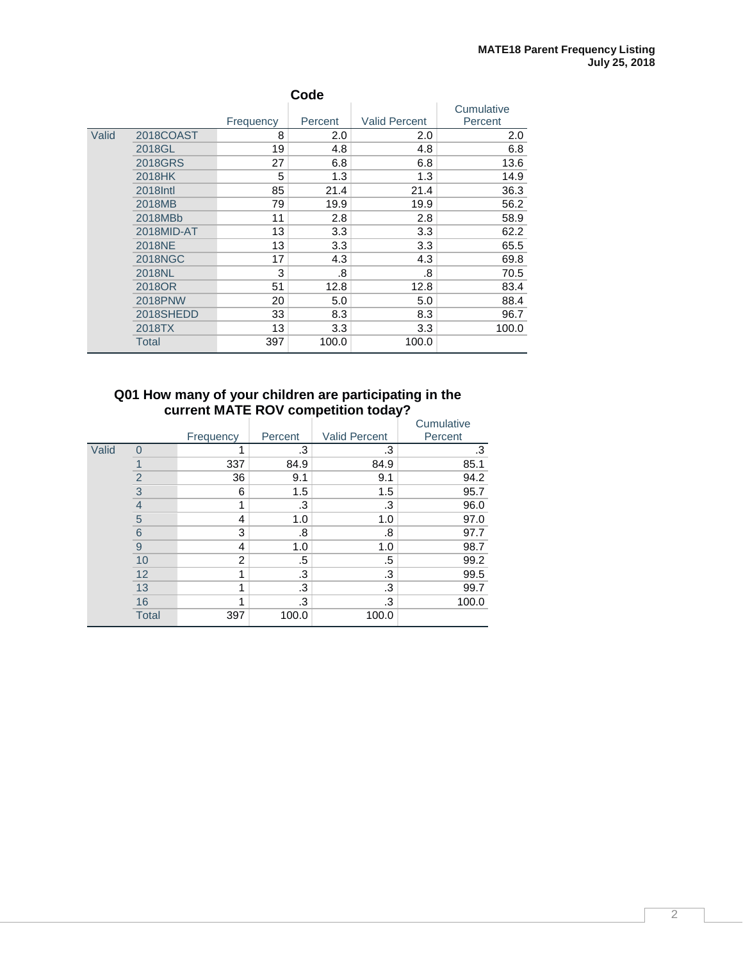|       | Code           |           |         |                      |            |  |  |  |  |  |
|-------|----------------|-----------|---------|----------------------|------------|--|--|--|--|--|
|       |                |           |         |                      | Cumulative |  |  |  |  |  |
|       |                | Frequency | Percent | <b>Valid Percent</b> | Percent    |  |  |  |  |  |
| Valid | 2018COAST      | 8         | 2.0     | 2.0                  | 2.0        |  |  |  |  |  |
|       | 2018GL         | 19        | 4.8     | 4.8                  | 6.8        |  |  |  |  |  |
|       | 2018GRS        | 27        | 6.8     | 6.8                  | 13.6       |  |  |  |  |  |
|       | 2018HK         | 5         | 1.3     | 1.3                  | 14.9       |  |  |  |  |  |
|       | 2018 Intl      | 85        | 21.4    | 21.4                 | 36.3       |  |  |  |  |  |
|       | 2018MB         | 79        | 19.9    | 19.9                 | 56.2       |  |  |  |  |  |
|       | 2018MBb        | 11        | 2.8     | 2.8                  | 58.9       |  |  |  |  |  |
|       | 2018MID-AT     | 13        | 3.3     | 3.3                  | 62.2       |  |  |  |  |  |
|       | 2018NE         | 13        | 3.3     | 3.3                  | 65.5       |  |  |  |  |  |
|       | 2018NGC        | 17        | 4.3     | 4.3                  | 69.8       |  |  |  |  |  |
|       | 2018NL         | 3         | .8      | .8                   | 70.5       |  |  |  |  |  |
|       | 2018OR         | 51        | 12.8    | 12.8                 | 83.4       |  |  |  |  |  |
|       | <b>2018PNW</b> | 20        | 5.0     | 5.0                  | 88.4       |  |  |  |  |  |
|       | 2018SHEDD      | 33        | 8.3     | 8.3                  | 96.7       |  |  |  |  |  |
|       | 2018TX         | 13        | 3.3     | 3.3                  | 100.0      |  |  |  |  |  |
|       | Total          | 397       | 100.0   | 100.0                |            |  |  |  |  |  |

#### **Q01 How many of your children are participating in the current MATE ROV competition today?**

|       |                          |           |         |                      | Cumulative |
|-------|--------------------------|-----------|---------|----------------------|------------|
|       |                          | Frequency | Percent | <b>Valid Percent</b> | Percent    |
| Valid | $\Omega$                 |           | .3      | .3                   | .3         |
|       |                          | 337       | 84.9    | 84.9                 | 85.1       |
|       | $\overline{2}$           | 36        | 9.1     | 9.1                  | 94.2       |
|       | $\overline{3}$           | 6         | 1.5     | 1.5                  | 95.7       |
|       | $\overline{\mathcal{L}}$ | 1         | .3      | .3                   | 96.0       |
|       | 5                        | 4         | 1.0     | 1.0                  | 97.0       |
|       | $\overline{6}$           | 3         | .8      | .8                   | 97.7       |
|       | $9$                      | 4         | 1.0     | 1.0                  | 98.7       |
|       | 10                       | 2         | .5      | .5                   | 99.2       |
|       | 12                       |           | .3      | .3                   | 99.5       |
|       | 13                       | 4         | .3      | .3                   | 99.7       |
|       | 16                       |           | .3      | .3                   | 100.0      |
|       | <b>Total</b>             | 397       | 100.0   | 100.0                |            |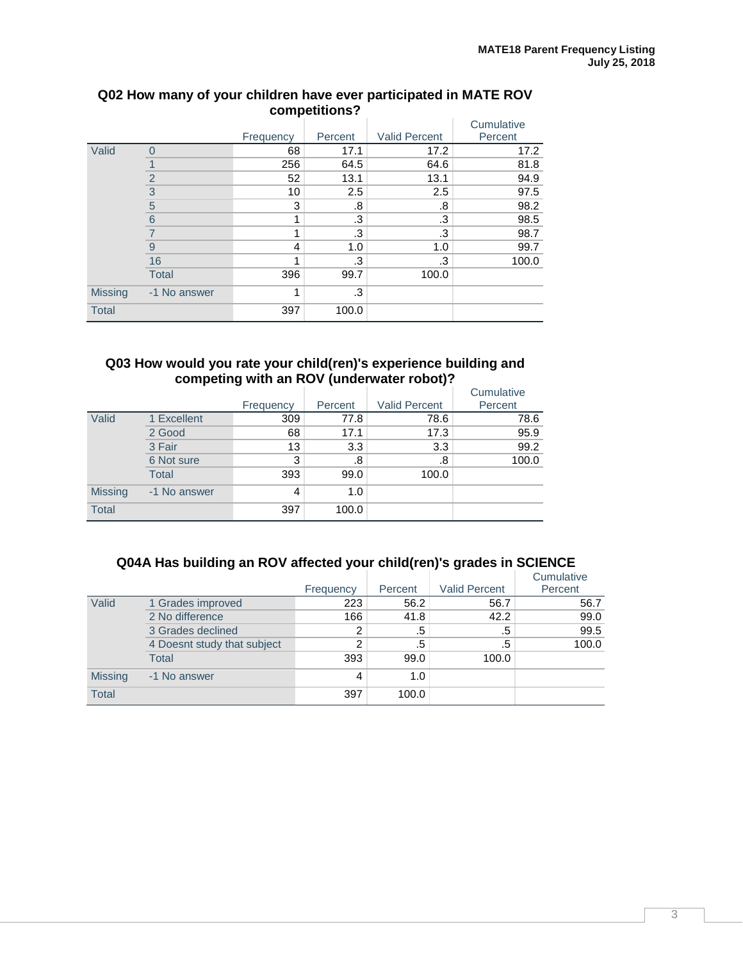|                |                | Frequency | Percent | <b>Valid Percent</b> | Cumulative<br>Percent |
|----------------|----------------|-----------|---------|----------------------|-----------------------|
| Valid          | $\Omega$       | 68        | 17.1    | 17.2                 | 17.2                  |
|                |                | 256       | 64.5    | 64.6                 | 81.8                  |
|                | $\overline{2}$ | 52        | 13.1    | 13.1                 | 94.9                  |
|                | 3              | 10        | 2.5     | 2.5                  | 97.5                  |
|                | 5              | 3         | .8      | .8                   | 98.2                  |
|                | 6              | 4         | .3      | .3                   | 98.5                  |
|                |                | 4         | .3      | .3                   | 98.7                  |
|                | $\overline{9}$ | 4         | 1.0     | 1.0                  | 99.7                  |
|                | 16             | 1         | .3      | .3                   | 100.0                 |
|                | <b>Total</b>   | 396       | 99.7    | 100.0                |                       |
| <b>Missing</b> | -1 No answer   | 4         | .3      |                      |                       |
| <b>Total</b>   |                | 397       | 100.0   |                      |                       |

#### **Q02 How many of your children have ever participated in MATE ROV competitions?**

#### **Q03 How would you rate your child(ren)'s experience building and competing with an ROV (underwater robot)?**

|                |              |           |         |                      | Cumulative |
|----------------|--------------|-----------|---------|----------------------|------------|
|                |              | Frequency | Percent | <b>Valid Percent</b> | Percent    |
| Valid          | 1 Excellent  | 309       | 77.8    | 78.6                 | 78.6       |
|                | 2 Good       | 68        | 17.1    | 17.3                 | 95.9       |
|                | 3 Fair       | 13        | 3.3     | 3.3                  | 99.2       |
|                | 6 Not sure   | 3         | .8      | .8                   | 100.0      |
|                | <b>Total</b> | 393       | 99.0    | 100.0                |            |
| <b>Missing</b> | -1 No answer | 4         | 1.0     |                      |            |
| <b>Total</b>   |              | 397       | 100.0   |                      |            |

### **Q04A Has building an ROV affected your child(ren)'s grades in SCIENCE**

|                |                             | Frequency | Percent | <b>Valid Percent</b> | Cumulative<br>Percent |
|----------------|-----------------------------|-----------|---------|----------------------|-----------------------|
| Valid          | 1 Grades improved           | 223       | 56.2    | 56.7                 | 56.7                  |
|                | 2 No difference             | 166       | 41.8    | 42.2                 | 99.0                  |
|                | 3 Grades declined           | 2         | $.5\,$  | .5                   | 99.5                  |
|                | 4 Doesnt study that subject | 2         | .5      | .5                   | 100.0                 |
|                | Total                       | 393       | 99.0    | 100.0                |                       |
| <b>Missing</b> | -1 No answer                | 4         | 1.0     |                      |                       |
| <b>Total</b>   |                             | 397       | 100.0   |                      |                       |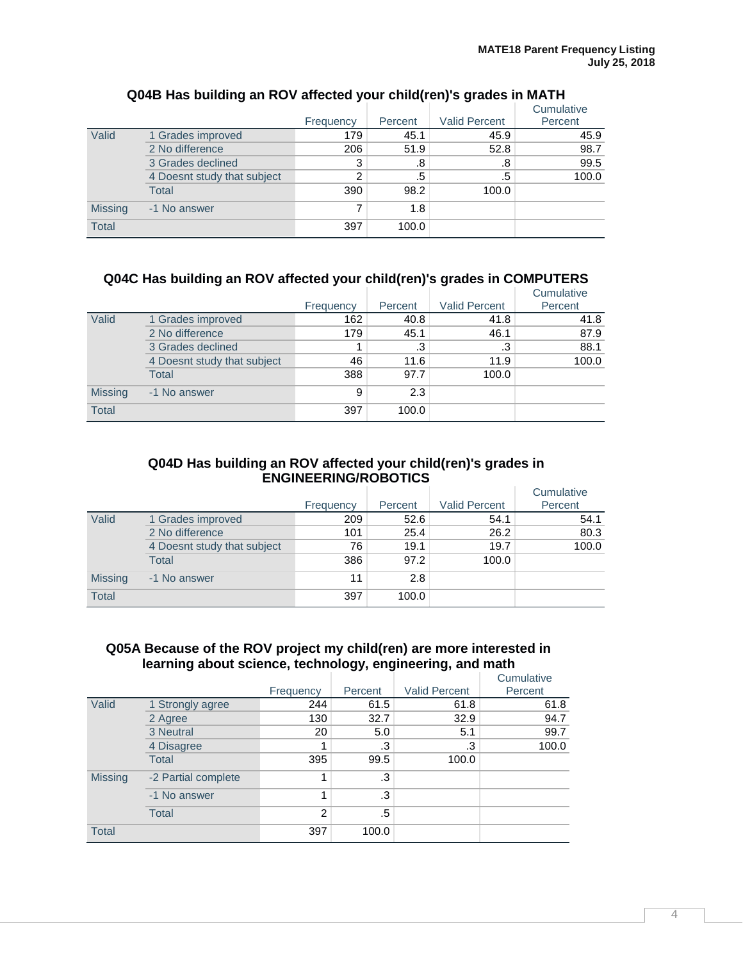|                |                             |           |         |                      | Cumulative |
|----------------|-----------------------------|-----------|---------|----------------------|------------|
|                |                             | Frequency | Percent | <b>Valid Percent</b> | Percent    |
| Valid          | 1 Grades improved           | 179       | 45.1    | 45.9                 | 45.9       |
|                | 2 No difference             | 206       | 51.9    | 52.8                 | 98.7       |
|                | 3 Grades declined           | 3         | .8      | .8                   | 99.5       |
|                | 4 Doesnt study that subject | 2         | .5      | .5                   | 100.0      |
|                | <b>Total</b>                | 390       | 98.2    | 100.0                |            |
| <b>Missing</b> | -1 No answer                |           | 1.8     |                      |            |
| Total          |                             | 397       | 100.0   |                      |            |

## **Q04B Has building an ROV affected your child(ren)'s grades in MATH**

# **Q04C Has building an ROV affected your child(ren)'s grades in COMPUTERS**

|                |                             |           |         |                      | Cumulative |
|----------------|-----------------------------|-----------|---------|----------------------|------------|
|                |                             | Frequency | Percent | <b>Valid Percent</b> | Percent    |
| Valid          | 1 Grades improved           | 162       | 40.8    | 41.8                 | 41.8       |
|                | 2 No difference             | 179       | 45.1    | 46.1                 | 87.9       |
|                | 3 Grades declined           |           | .3      | .3                   | 88.1       |
|                | 4 Doesnt study that subject | 46        | 11.6    | 11.9                 | 100.0      |
|                | Total                       | 388       | 97.7    | 100.0                |            |
| <b>Missing</b> | -1 No answer                | 9         | 2.3     |                      |            |
| <b>Total</b>   |                             | 397       | 100.0   |                      |            |

### **Q04D Has building an ROV affected your child(ren)'s grades in ENGINEERING/ROBOTICS**

|                |                             |           |         |                      | Cumulative |
|----------------|-----------------------------|-----------|---------|----------------------|------------|
|                |                             | Frequency | Percent | <b>Valid Percent</b> | Percent    |
| Valid          | 1 Grades improved           | 209       | 52.6    | 54.1                 | 54.1       |
|                | 2 No difference             | 101       | 25.4    | 26.2                 | 80.3       |
|                | 4 Doesnt study that subject | 76        | 19.1    | 19.7                 | 100.0      |
|                | Total                       | 386       | 97.2    | 100.0                |            |
| <b>Missing</b> | -1 No answer                | 11        | 2.8     |                      |            |
| <b>Total</b>   |                             | 397       | 100.0   |                      |            |

#### **Q05A Because of the ROV project my child(ren) are more interested in learning about science, technology, engineering, and math**

|                |                     | Frequency      | Percent | <b>Valid Percent</b> | Cumulative<br>Percent |
|----------------|---------------------|----------------|---------|----------------------|-----------------------|
| Valid          | 1 Strongly agree    | 244            | 61.5    | 61.8                 | 61.8                  |
|                | 2 Agree             | 130            | 32.7    | 32.9                 | 94.7                  |
|                | 3 Neutral           | 20             | 5.0     | 5.1                  | 99.7                  |
|                | 4 Disagree          |                | .3      | .3                   | 100.0                 |
|                | <b>Total</b>        | 395            | 99.5    | 100.0                |                       |
| <b>Missing</b> | -2 Partial complete | 1              | .3      |                      |                       |
|                | -1 No answer        | 1              | .3      |                      |                       |
|                | <b>Total</b>        | $\overline{2}$ | $.5\,$  |                      |                       |
| <b>Total</b>   |                     | 397            | 100.0   |                      |                       |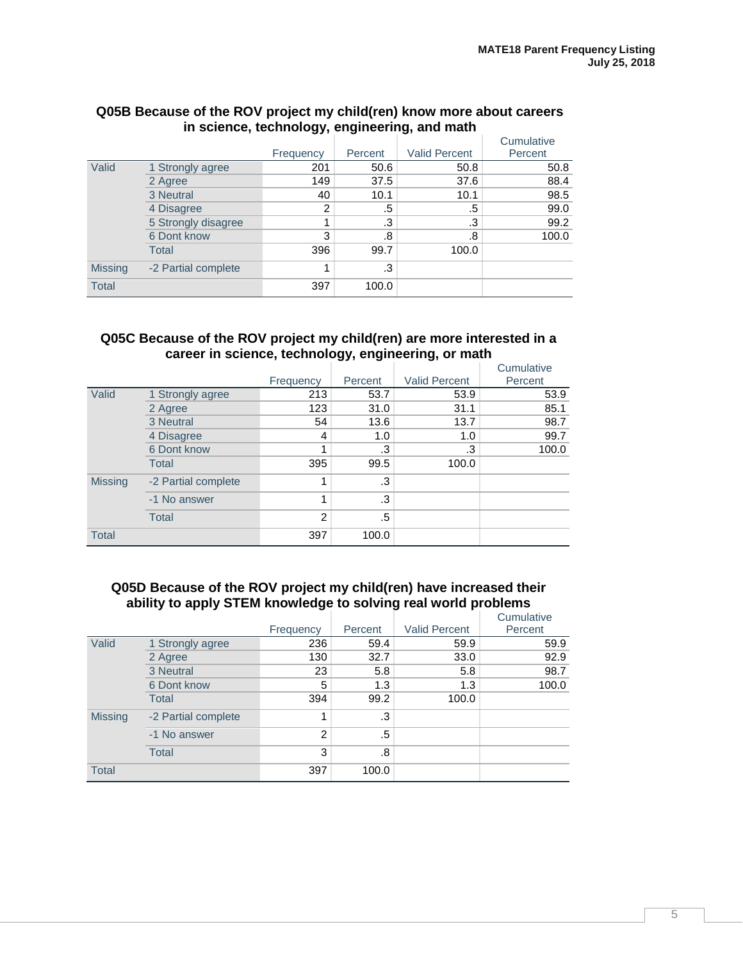|                |                     | Frequency      | Percent | <b>Valid Percent</b> | Cumulative<br>Percent |
|----------------|---------------------|----------------|---------|----------------------|-----------------------|
| Valid          | 1 Strongly agree    | 201            | 50.6    | 50.8                 | 50.8                  |
|                | 2 Agree             | 149            | 37.5    | 37.6                 | 88.4                  |
|                | 3 Neutral           | 40             | 10.1    | 10.1                 | 98.5                  |
|                | 4 Disagree          | $\overline{2}$ | .5      | .5                   | 99.0                  |
|                | 5 Strongly disagree |                | .3      | .3                   | 99.2                  |
|                | 6 Dont know         | 3              | .8      | .8                   | 100.0                 |
|                | Total               | 396            | 99.7    | 100.0                |                       |
| <b>Missing</b> | -2 Partial complete |                | .3      |                      |                       |
| <b>Total</b>   |                     | 397            | 100.0   |                      |                       |

#### **Q05B Because of the ROV project my child(ren) know more about careers in science, technology, engineering, and math**

#### **Q05C Because of the ROV project my child(ren) are more interested in a career in science, technology, engineering, or math**

|                |                     |                |         |                      | Cumulative |
|----------------|---------------------|----------------|---------|----------------------|------------|
|                |                     | Frequency      | Percent | <b>Valid Percent</b> | Percent    |
| Valid          | 1 Strongly agree    | 213            | 53.7    | 53.9                 | 53.9       |
|                | 2 Agree             | 123            | 31.0    | 31.1                 | 85.1       |
|                | 3 Neutral           | 54             | 13.6    | 13.7                 | 98.7       |
|                | 4 Disagree          | 4              | 1.0     | 1.0                  | 99.7       |
|                | 6 Dont know         | и              | .3      | .3                   | 100.0      |
|                | <b>Total</b>        | 395            | 99.5    | 100.0                |            |
| <b>Missing</b> | -2 Partial complete | 4              | .3      |                      |            |
|                | -1 No answer        | 4              | .3      |                      |            |
|                | <b>Total</b>        | $\overline{2}$ | .5      |                      |            |
| <b>Total</b>   |                     | 397            | 100.0   |                      |            |

### **Q05D Because of the ROV project my child(ren) have increased their ability to apply STEM knowledge to solving real world problems**

|                |                     |                |         |                      | Cumulative |
|----------------|---------------------|----------------|---------|----------------------|------------|
|                |                     | Frequency      | Percent | <b>Valid Percent</b> | Percent    |
| Valid          | 1 Strongly agree    | 236            | 59.4    | 59.9                 | 59.9       |
|                | 2 Agree             | 130            | 32.7    | 33.0                 | 92.9       |
|                | 3 Neutral           | 23             | 5.8     | 5.8                  | 98.7       |
|                | 6 Dont know         | 5              | 1.3     | 1.3                  | 100.0      |
|                | <b>Total</b>        | 394            | 99.2    | 100.0                |            |
| <b>Missing</b> | -2 Partial complete | и              | .3      |                      |            |
|                | -1 No answer        | $\overline{2}$ | .5      |                      |            |
|                | <b>Total</b>        | 3              | .8      |                      |            |
| <b>Total</b>   |                     | 397            | 100.0   |                      |            |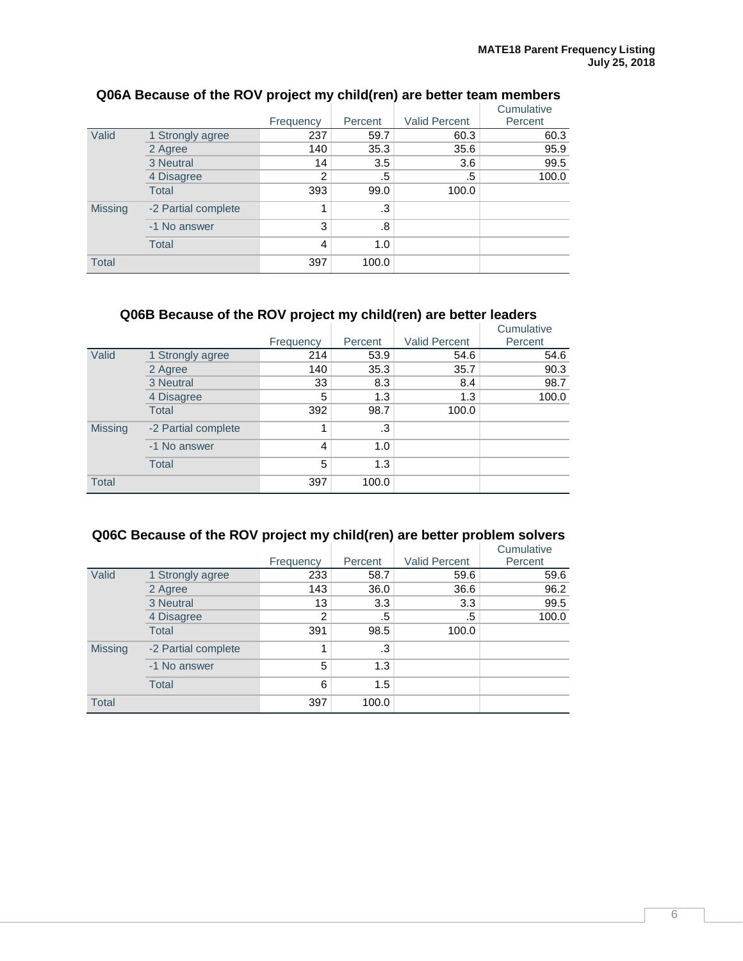|                |                     |                |         |                      | Cumulative |
|----------------|---------------------|----------------|---------|----------------------|------------|
|                |                     | Frequency      | Percent | <b>Valid Percent</b> | Percent    |
| Valid          | 1 Strongly agree    | 237            | 59.7    | 60.3                 | 60.3       |
|                | 2 Agree             | 140            | 35.3    | 35.6                 | 95.9       |
|                | 3 Neutral           | 14             | 3.5     | 3.6                  | 99.5       |
|                | 4 Disagree          | $\overline{2}$ | .5      | .5                   | 100.0      |
|                | <b>Total</b>        | 393            | 99.0    | 100.0                |            |
| <b>Missing</b> | -2 Partial complete |                | .3      |                      |            |
|                | -1 No answer        | 3              | .8      |                      |            |
|                | <b>Total</b>        | 4              | 1.0     |                      |            |
| <b>Total</b>   |                     | 397            | 100.0   |                      |            |

## **Q06A Because of the ROV project my child(ren) are better team members**

### **Q06B Because of the ROV project my child(ren) are better leaders**

|                |                     |           |         |                      | Cumulative |
|----------------|---------------------|-----------|---------|----------------------|------------|
|                |                     | Frequency | Percent | <b>Valid Percent</b> | Percent    |
| Valid          | 1 Strongly agree    | 214       | 53.9    | 54.6                 | 54.6       |
|                | 2 Agree             | 140       | 35.3    | 35.7                 | 90.3       |
|                | 3 Neutral           | 33        | 8.3     | 8.4                  | 98.7       |
|                | 4 Disagree          | 5         | 1.3     | 1.3                  | 100.0      |
|                | Total               | 392       | 98.7    | 100.0                |            |
| <b>Missing</b> | -2 Partial complete | 1         | .3      |                      |            |
|                | -1 No answer        | 4         | 1.0     |                      |            |
|                | <b>Total</b>        | 5         | 1.3     |                      |            |
| <b>Total</b>   |                     | 397       | 100.0   |                      |            |

# **Q06C Because of the ROV project my child(ren) are better problem solvers**

|                |                     | Frequency | Percent | <b>Valid Percent</b> | Cumulative<br>Percent |
|----------------|---------------------|-----------|---------|----------------------|-----------------------|
| Valid          | 1 Strongly agree    | 233       | 58.7    | 59.6                 | 59.6                  |
|                | 2 Agree             | 143       | 36.0    | 36.6                 | 96.2                  |
|                | 3 Neutral           | 13        | 3.3     | 3.3                  | 99.5                  |
|                | 4 Disagree          | 2         | .5      | .5                   | 100.0                 |
|                | <b>Total</b>        | 391       | 98.5    | 100.0                |                       |
| <b>Missing</b> | -2 Partial complete |           | .3      |                      |                       |
|                | -1 No answer        | 5         | 1.3     |                      |                       |
|                | <b>Total</b>        | 6         | 1.5     |                      |                       |
| <b>Total</b>   |                     | 397       | 100.0   |                      |                       |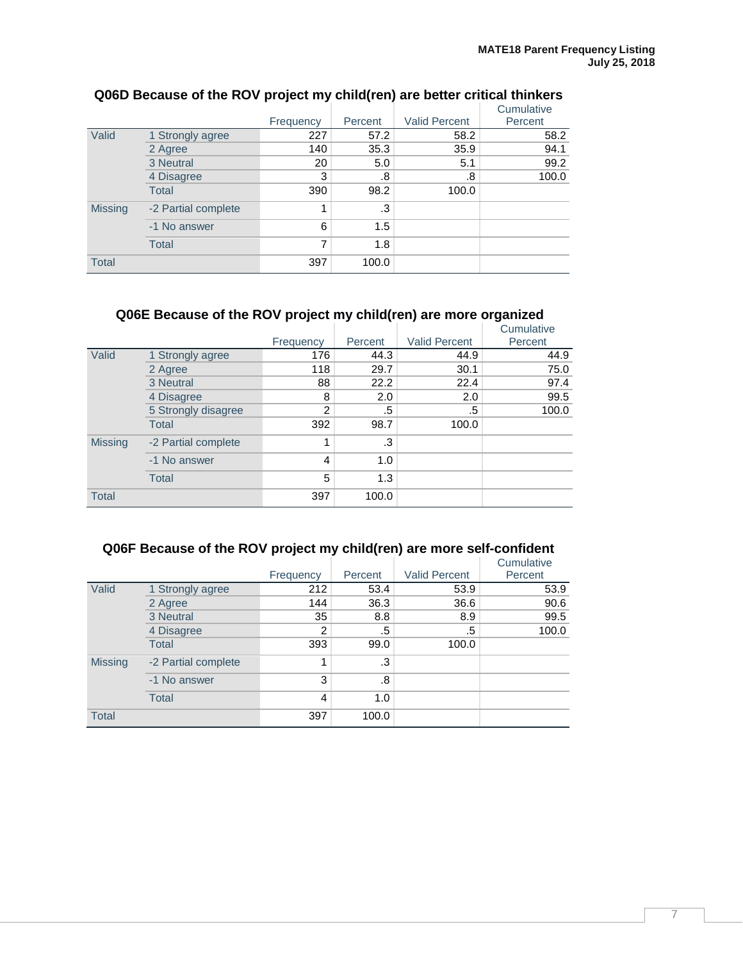|                |                     |           |         |                      | Cumulative |
|----------------|---------------------|-----------|---------|----------------------|------------|
|                |                     | Frequency | Percent | <b>Valid Percent</b> | Percent    |
| Valid          | 1 Strongly agree    | 227       | 57.2    | 58.2                 | 58.2       |
|                | 2 Agree             | 140       | 35.3    | 35.9                 | 94.1       |
|                | 3 Neutral           | 20        | 5.0     | 5.1                  | 99.2       |
|                | 4 Disagree          | 3         | .8      | .8                   | 100.0      |
|                | <b>Total</b>        | 390       | 98.2    | 100.0                |            |
| <b>Missing</b> | -2 Partial complete |           | .3      |                      |            |
|                | -1 No answer        | 6         | 1.5     |                      |            |
|                | <b>Total</b>        | 7         | 1.8     |                      |            |
| <b>Total</b>   |                     | 397       | 100.0   |                      |            |

## **Q06D Because of the ROV project my child(ren) are better critical thinkers**

### **Q06E Because of the ROV project my child(ren) are more organized**

|                |                     |           |         |                      | Cumulative |
|----------------|---------------------|-----------|---------|----------------------|------------|
|                |                     | Frequency | Percent | <b>Valid Percent</b> | Percent    |
| Valid          | 1 Strongly agree    | 176       | 44.3    | 44.9                 | 44.9       |
|                | 2 Agree             | 118       | 29.7    | 30.1                 | 75.0       |
|                | 3 Neutral           | 88        | 22.2    | 22.4                 | 97.4       |
|                | 4 Disagree          | 8         | 2.0     | 2.0                  | 99.5       |
|                | 5 Strongly disagree | 2         | .5      | .5                   | 100.0      |
|                | <b>Total</b>        | 392       | 98.7    | 100.0                |            |
| <b>Missing</b> | -2 Partial complete | 1         | .3      |                      |            |
|                | -1 No answer        | 4         | 1.0     |                      |            |
|                | Total               | 5         | 1.3     |                      |            |
| <b>Total</b>   |                     | 397       | 100.0   |                      |            |

### **Q06F Because of the ROV project my child(ren) are more self-confident**

|                |                     | Frequency | Percent | <b>Valid Percent</b> | Cumulative<br>Percent |
|----------------|---------------------|-----------|---------|----------------------|-----------------------|
| Valid          | 1 Strongly agree    | 212       | 53.4    | 53.9                 | 53.9                  |
|                | 2 Agree             | 144       | 36.3    | 36.6                 | 90.6                  |
|                | 3 Neutral           | 35        | 8.8     | 8.9                  | 99.5                  |
|                | 4 Disagree          | 2         | .5      | .5                   | 100.0                 |
|                | <b>Total</b>        | 393       | 99.0    | 100.0                |                       |
| <b>Missing</b> | -2 Partial complete | 1         | .3      |                      |                       |
|                | -1 No answer        | 3         | .8      |                      |                       |
|                | <b>Total</b>        | 4         | 1.0     |                      |                       |
| <b>Total</b>   |                     | 397       | 100.0   |                      |                       |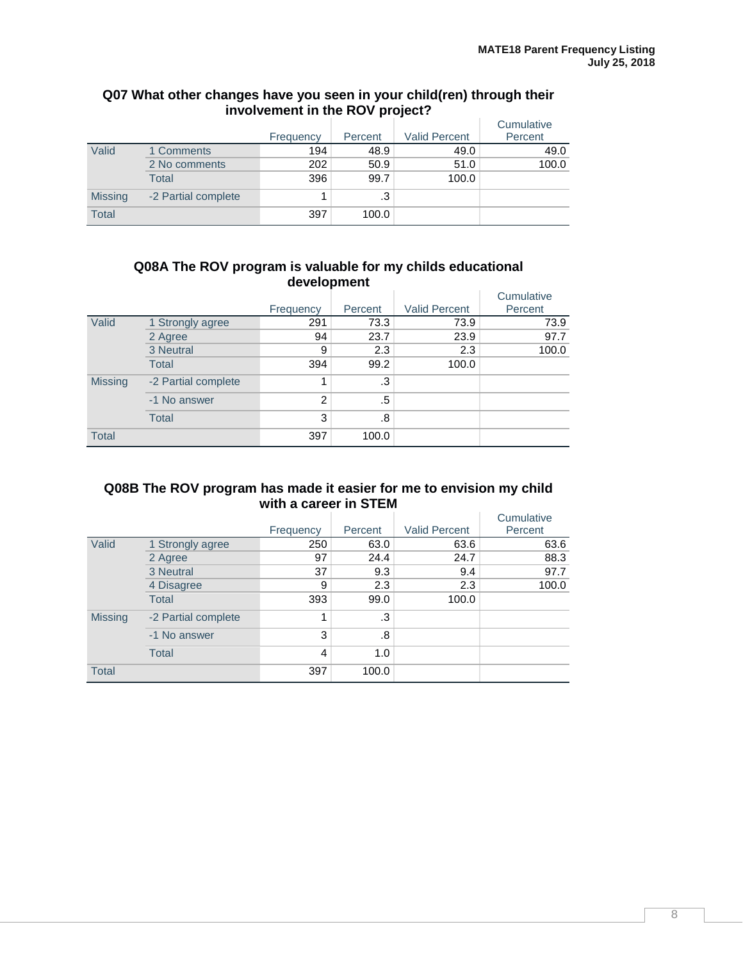|                |                     | Frequency | Percent | <b>Valid Percent</b> | Cumulative<br>Percent |
|----------------|---------------------|-----------|---------|----------------------|-----------------------|
| Valid          | 1 Comments          | 194       | 48.9    | 49.0                 | 49.0                  |
|                | 2 No comments       | 202       | 50.9    | 51.0                 | 100.0                 |
|                | Total               | 396       | 99.7    | 100.0                |                       |
| <b>Missing</b> | -2 Partial complete |           | .3      |                      |                       |
| <b>Total</b>   |                     | 397       | 100.0   |                      |                       |

#### **Q07 What other changes have you seen in your child(ren) through their involvement in the ROV project?**

#### **Q08A The ROV program is valuable for my childs educational development**

|                |                     |                |         |                      | Cumulative |
|----------------|---------------------|----------------|---------|----------------------|------------|
|                |                     | Frequency      | Percent | <b>Valid Percent</b> | Percent    |
| Valid          | 1 Strongly agree    | 291            | 73.3    | 73.9                 | 73.9       |
|                | 2 Agree             | 94             | 23.7    | 23.9                 | 97.7       |
|                | 3 Neutral           | 9              | 2.3     | 2.3                  | 100.0      |
|                | <b>Total</b>        | 394            | 99.2    | 100.0                |            |
| <b>Missing</b> | -2 Partial complete | 1              | .3      |                      |            |
|                | -1 No answer        | $\overline{2}$ | .5      |                      |            |
|                | <b>Total</b>        | 3              | .8      |                      |            |
| <b>Total</b>   |                     | 397            | 100.0   |                      |            |

### **Q08B The ROV program has made it easier for me to envision my child with a career in STEM**

|                |                     |           |         |                      | Cumulative |
|----------------|---------------------|-----------|---------|----------------------|------------|
|                |                     | Frequency | Percent | <b>Valid Percent</b> | Percent    |
| Valid          | 1 Strongly agree    | 250       | 63.0    | 63.6                 | 63.6       |
|                | 2 Agree             | 97        | 24.4    | 24.7                 | 88.3       |
|                | 3 Neutral           | 37        | 9.3     | 9.4                  | 97.7       |
|                | 4 Disagree          | 9         | 2.3     | 2.3                  | 100.0      |
|                | <b>Total</b>        | 393       | 99.0    | 100.0                |            |
| <b>Missing</b> | -2 Partial complete | 1         | .3      |                      |            |
|                | -1 No answer        | 3         | .8      |                      |            |
|                | <b>Total</b>        | 4         | 1.0     |                      |            |
| <b>Total</b>   |                     | 397       | 100.0   |                      |            |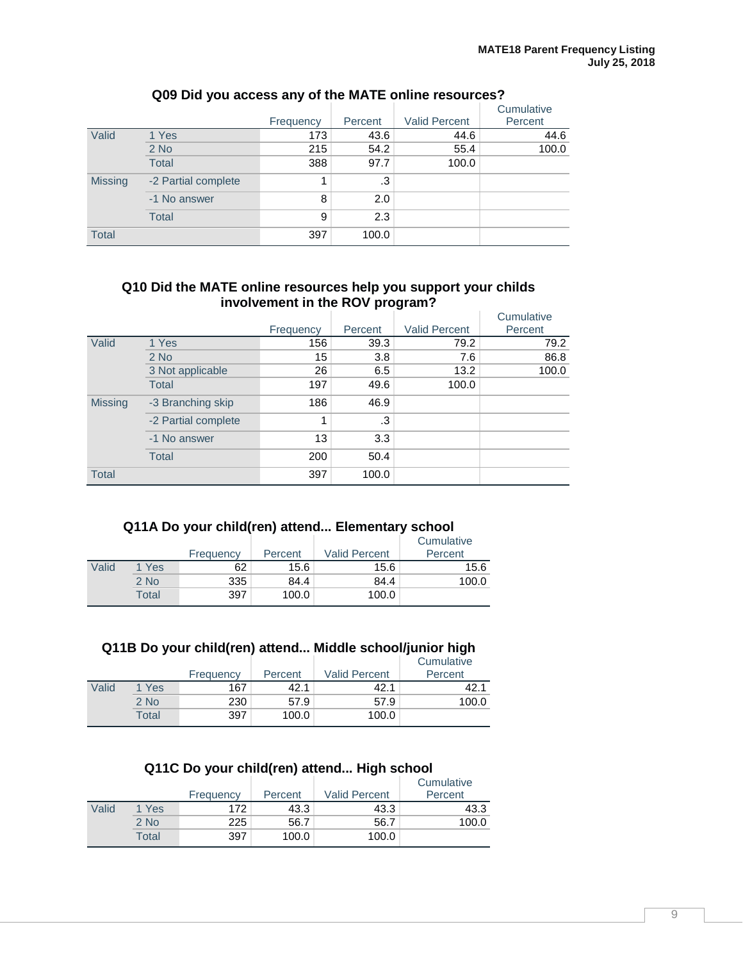|                |                     |           |         |                      | Cumulative |
|----------------|---------------------|-----------|---------|----------------------|------------|
|                |                     | Frequency | Percent | <b>Valid Percent</b> | Percent    |
| Valid          | 1 Yes               | 173       | 43.6    | 44.6                 | 44.6       |
|                | $2$ No              | 215       | 54.2    | 55.4                 | 100.0      |
|                | <b>Total</b>        | 388       | 97.7    | 100.0                |            |
| <b>Missing</b> | -2 Partial complete | 1         | .3      |                      |            |
|                | -1 No answer        | 8         | 2.0     |                      |            |
|                | <b>Total</b>        | 9         | 2.3     |                      |            |
| <b>Total</b>   |                     | 397       | 100.0   |                      |            |

### **Q09 Did you access any of the MATE online resources?**

#### **Q10 Did the MATE online resources help you support your childs involvement in the ROV program?**

|                |                     |           |         |                      | Cumulative |
|----------------|---------------------|-----------|---------|----------------------|------------|
|                |                     | Frequency | Percent | <b>Valid Percent</b> | Percent    |
| Valid          | 1 Yes               | 156       | 39.3    | 79.2                 | 79.2       |
|                | $2$ No              | 15        | 3.8     | 7.6                  | 86.8       |
|                | 3 Not applicable    | 26        | 6.5     | 13.2                 | 100.0      |
|                | <b>Total</b>        | 197       | 49.6    | 100.0                |            |
| <b>Missing</b> | -3 Branching skip   | 186       | 46.9    |                      |            |
|                | -2 Partial complete | 1         | .3      |                      |            |
|                | -1 No answer        | 13        | 3.3     |                      |            |
|                | <b>Total</b>        | 200       | 50.4    |                      |            |
| <b>Total</b>   |                     | 397       | 100.0   |                      |            |

#### **Q11A Do your child(ren) attend... Elementary school**

|       |        | Frequency | Percent | <b>Valid Percent</b> | Cumulative<br>Percent |
|-------|--------|-----------|---------|----------------------|-----------------------|
| Valid | 1 Yes  | 62        | 15.6    | 15.6                 | 15.6                  |
|       | $2$ No | 335       | 84.4    | 84.4                 | 100.0                 |
|       | Total  | 397       | 100.0   | 100.0                |                       |

# **Q11B Do your child(ren) attend... Middle school/junior high**

|       |        | Frequency | Percent | <b>Valid Percent</b> | Cumulative<br>Percent |
|-------|--------|-----------|---------|----------------------|-----------------------|
| Valid | 1 Yes  | 167       | 42.1    | 42.1                 | 42.1                  |
|       | $2$ No | 230       | 57.9    | 57.9                 | 100.0                 |
|       | Total  | 397       | 100.0   | 100.0                |                       |

## **Q11C Do your child(ren) attend... High school**

|       |        | Frequency | Percent | <b>Valid Percent</b> | Cumulative<br>Percent |
|-------|--------|-----------|---------|----------------------|-----------------------|
| Valid | 1 Yes  | 172       | 43.3    | 43.3                 | 43.3                  |
|       | $2$ No | 225       | 56.7    | 56.7                 | 100.0                 |
|       | Total  | 397       | 100.0   | 100.0                |                       |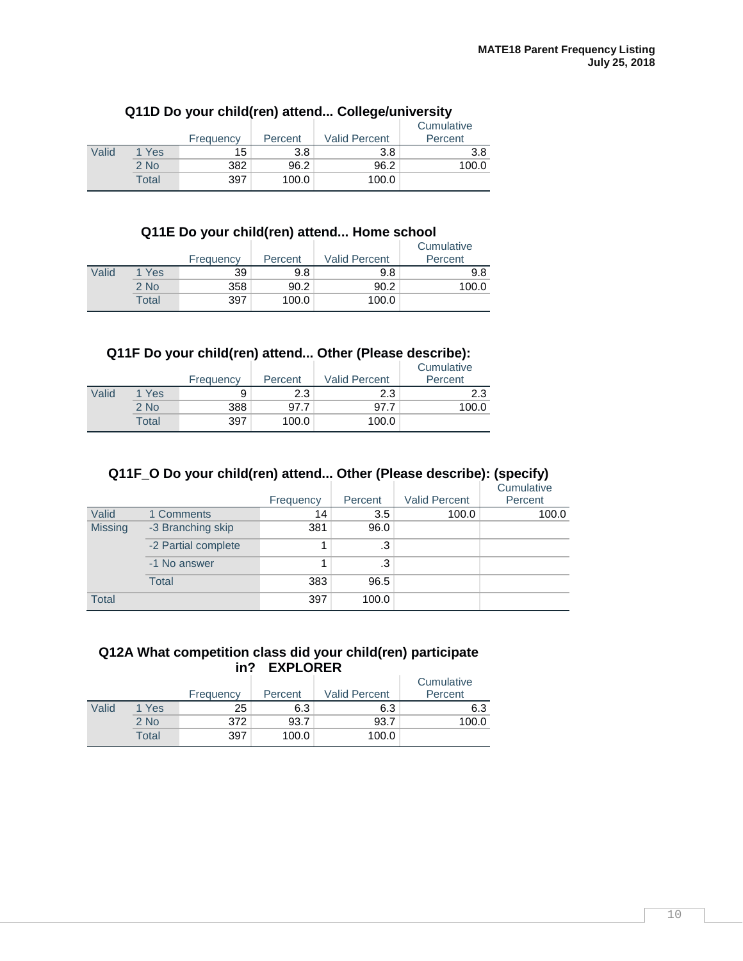|       |        |           |         |                      | Cumulative |
|-------|--------|-----------|---------|----------------------|------------|
|       |        | Frequency | Percent | <b>Valid Percent</b> | Percent    |
| Valid | 1 Yes  | 15        | 3.8     | 3.8                  | 3.8        |
|       | $2$ No | 382       | 96.2    | 96.2                 | 100.0      |
|       | Total  | 397       | 100.0   | 100.0                |            |

# **Q11D Do your child(ren) attend... College/university**

### **Q11E Do your child(ren) attend... Home school**

|       |        | Frequency | Percent | <b>Valid Percent</b> | Cumulative<br>Percent |
|-------|--------|-----------|---------|----------------------|-----------------------|
| Valid | 1 Yes  | 39        | 9.8     | 9.8                  | 9.8                   |
|       | $2$ No | 358       | 90.2    | 90.2                 | 100.0                 |
|       | Total  | 397       | 100.0   | 100.0                |                       |

# **Q11F Do your child(ren) attend... Other (Please describe):**

|       |        | Frequency | Percent | <b>Valid Percent</b> | Cumulative<br>Percent |
|-------|--------|-----------|---------|----------------------|-----------------------|
| Valid | 1 Yes  | 9         | 2.3     | 2.3                  | 2.3                   |
|       | $2$ No | 388       | 97.7    | 97.7                 | 100.0                 |
|       | Total  | 397       | 100.0   | 100.0                |                       |

### **Q11F\_O Do your child(ren) attend... Other (Please describe): (specify)**

|                |                     |           |         |                      | Cumulative |
|----------------|---------------------|-----------|---------|----------------------|------------|
|                |                     | Frequency | Percent | <b>Valid Percent</b> | Percent    |
| Valid          | 1 Comments          | 14        | 3.5     | 100.0                | 100.0      |
| <b>Missing</b> | -3 Branching skip   | 381       | 96.0    |                      |            |
|                | -2 Partial complete |           | .3      |                      |            |
|                | -1 No answer        |           | .3      |                      |            |
|                | Total               | 383       | 96.5    |                      |            |
| <b>Total</b>   |                     | 397       | 100.0   |                      |            |

#### **Q12A What competition class did your child(ren) participate in? EXPLORER**

|       |        | Frequency | Percent | <b>Valid Percent</b> | Cumulative<br>Percent |
|-------|--------|-----------|---------|----------------------|-----------------------|
| Valid | 1 Yes  | 25        | 6.3     | 6.3                  | 6.3                   |
|       | $2$ No | 372       | 93.7    | 93.7                 | 100.0                 |
|       | Total  | 397       | 100.0   | 100.0                |                       |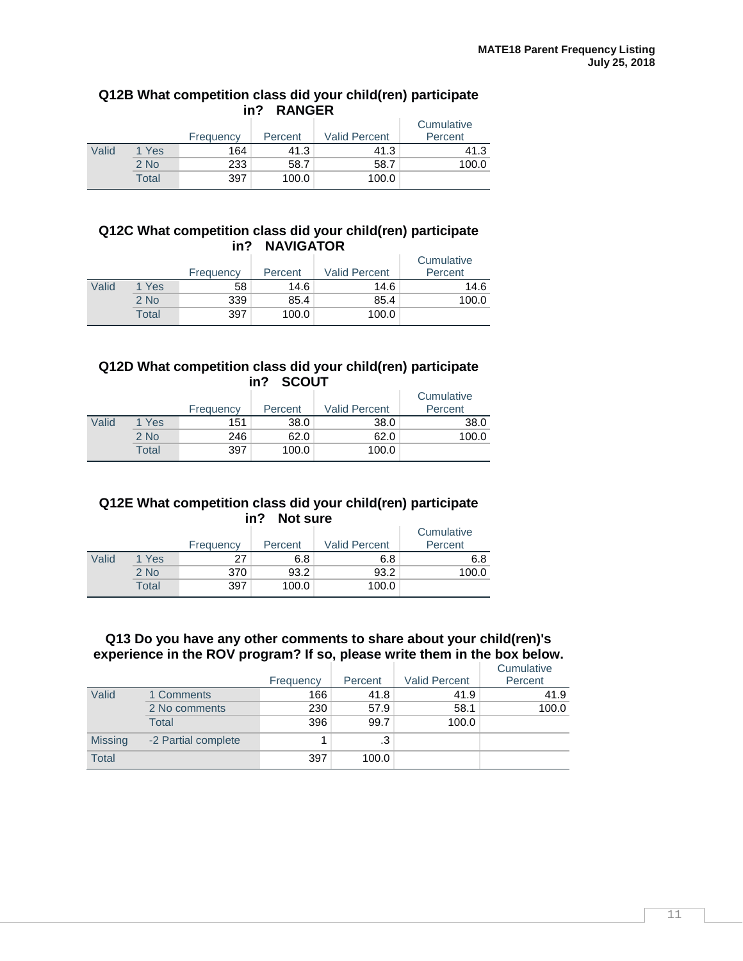#### **Q12B What competition class did your child(ren) participate in? RANGER**

|       |        | Frequency | Percent | <b>Valid Percent</b> | Cumulative<br>Percent |
|-------|--------|-----------|---------|----------------------|-----------------------|
| Valid | 1 Yes  | 164       | 41.3    | 41.3                 | 41.3                  |
|       | $2$ No | 233       | 58.7    | 58.7                 | 100.0                 |
|       | Total  | 397       | 100.0   | 100.0                |                       |

#### **Q12C What competition class did your child(ren) participate in? NAVIGATOR**

|       |        | Frequency | Percent | <b>Valid Percent</b> | Cumulative<br>Percent |
|-------|--------|-----------|---------|----------------------|-----------------------|
| Valid | 1 Yes  | 58        | 14.6    | 14.6                 | 14.6                  |
|       | $2$ No | 339       | 85.4    | 85.4                 | 100.0                 |
|       | Total  | 397       | 100.0   | 100.0                |                       |

#### **Q12D What competition class did your child(ren) participate in? SCOUT**

|       |        | Frequency | Percent | <b>Valid Percent</b> | Cumulative<br>Percent |
|-------|--------|-----------|---------|----------------------|-----------------------|
| Valid | 1 Yes  | 151       | 38.0    | 38.0                 | 38.0                  |
|       | $2$ No | 246       | 62.0    | 62.0                 | 100.0                 |
|       | Total  | 397       | 100.0   | 100.0                |                       |

### **Q12E What competition class did your child(ren) participate in? Not sure**

|       |        | Frequency | Percent | <b>Valid Percent</b> | Cumulative<br>Percent |
|-------|--------|-----------|---------|----------------------|-----------------------|
| Valid | 1 Yes  | 27        | 6.8     | 6.8                  | 6.8                   |
|       | $2$ No | 370       | 93.2    | 93.2                 | 100.0                 |
|       | Total  | 397       | 100.0   | 100.0                |                       |

#### **Q13 Do you have any other comments to share about your child(ren)'s experience in the ROV program? If so, please write them in the box below.**

|                |                     | Frequency | Percent | <b>Valid Percent</b> | Cumulative<br>Percent |
|----------------|---------------------|-----------|---------|----------------------|-----------------------|
| Valid          | 1 Comments          | 166       | 41.8    | 41.9                 | 41.9                  |
|                | 2 No comments       | 230       | 57.9    | 58.1                 | 100.0                 |
|                | Total               | 396       | 99.7    | 100.0                |                       |
| <b>Missing</b> | -2 Partial complete |           | .3      |                      |                       |
| <b>Total</b>   |                     | 397       | 100.0   |                      |                       |